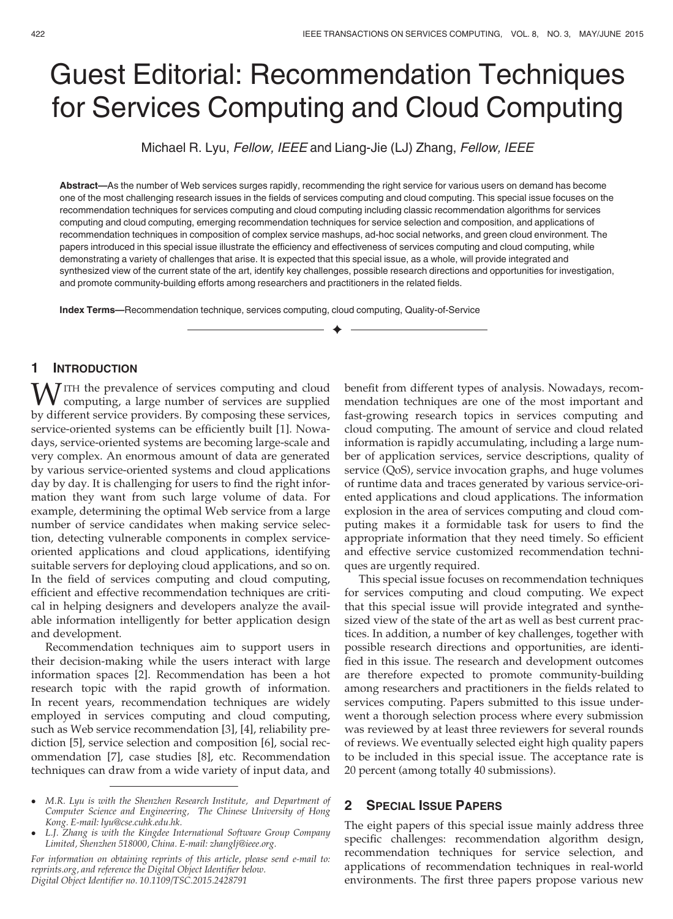# Guest Editorial: Recommendation Techniques for Services Computing and Cloud Computing

Michael R. Lyu, Fellow, IEEE and Liang-Jie (LJ) Zhang, Fellow, IEEE

Abstract—As the number of Web services surges rapidly, recommending the right service for various users on demand has become one of the most challenging research issues in the fields of services computing and cloud computing. This special issue focuses on the recommendation techniques for services computing and cloud computing including classic recommendation algorithms for services computing and cloud computing, emerging recommendation techniques for service selection and composition, and applications of recommendation techniques in composition of complex service mashups, ad-hoc social networks, and green cloud environment. The papers introduced in this special issue illustrate the efficiency and effectiveness of services computing and cloud computing, while demonstrating a variety of challenges that arise. It is expected that this special issue, as a whole, will provide integrated and synthesized view of the current state of the art, identify key challenges, possible research directions and opportunities for investigation, and promote community-building efforts among researchers and practitioners in the related fields.

 $\blacklozenge$ 

Index Terms—Recommendation technique, services computing, cloud computing, Quality-of-Service

## 1 INTRODUCTION

MITH the prevalence of services computing and cloud computing, a large number of services are supplied by different service providers. By composing these services, service-oriented systems can be efficiently built [1]. Nowadays, service-oriented systems are becoming large-scale and very complex. An enormous amount of data are generated by various service-oriented systems and cloud applications day by day. It is challenging for users to find the right information they want from such large volume of data. For example, determining the optimal Web service from a large number of service candidates when making service selection, detecting vulnerable components in complex serviceoriented applications and cloud applications, identifying suitable servers for deploying cloud applications, and so on. In the field of services computing and cloud computing, efficient and effective recommendation techniques are critical in helping designers and developers analyze the available information intelligently for better application design and development.

Recommendation techniques aim to support users in their decision-making while the users interact with large information spaces [2]. Recommendation has been a hot research topic with the rapid growth of information. In recent years, recommendation techniques are widely employed in services computing and cloud computing, such as Web service recommendation [3], [4], reliability prediction [5], service selection and composition [6], social recommendation [7], case studies [8], etc. Recommendation techniques can draw from a wide variety of input data, and benefit from different types of analysis. Nowadays, recommendation techniques are one of the most important and fast-growing research topics in services computing and cloud computing. The amount of service and cloud related information is rapidly accumulating, including a large number of application services, service descriptions, quality of service (QoS), service invocation graphs, and huge volumes of runtime data and traces generated by various service-oriented applications and cloud applications. The information explosion in the area of services computing and cloud computing makes it a formidable task for users to find the appropriate information that they need timely. So efficient and effective service customized recommendation techniques are urgently required.

This special issue focuses on recommendation techniques for services computing and cloud computing. We expect that this special issue will provide integrated and synthesized view of the state of the art as well as best current practices. In addition, a number of key challenges, together with possible research directions and opportunities, are identified in this issue. The research and development outcomes are therefore expected to promote community-building among researchers and practitioners in the fields related to services computing. Papers submitted to this issue underwent a thorough selection process where every submission was reviewed by at least three reviewers for several rounds of reviews. We eventually selected eight high quality papers to be included in this special issue. The acceptance rate is 20 percent (among totally 40 submissions).

### 2 SPECIAL ISSUE PAPERS

The eight papers of this special issue mainly address three specific challenges: recommendation algorithm design, recommendation techniques for service selection, and applications of recommendation techniques in real-world environments. The first three papers propose various new

M.R. Lyu is with the Shenzhen Research Institute, and Department of Computer Science and Engineering, The Chinese University of Hong Kong. E-mail: lyu@cse.cuhk.edu.hk.

L.J. Zhang is with the Kingdee International Software Group Company Limited, Shenzhen 518000, China. E-mail: zhanglj@ieee.org.

For information on obtaining reprints of this article, please send e-mail to: reprints.org, and reference the Digital Object Identifier below. Digital Object Identifier no. 10.1109/TSC.2015.2428791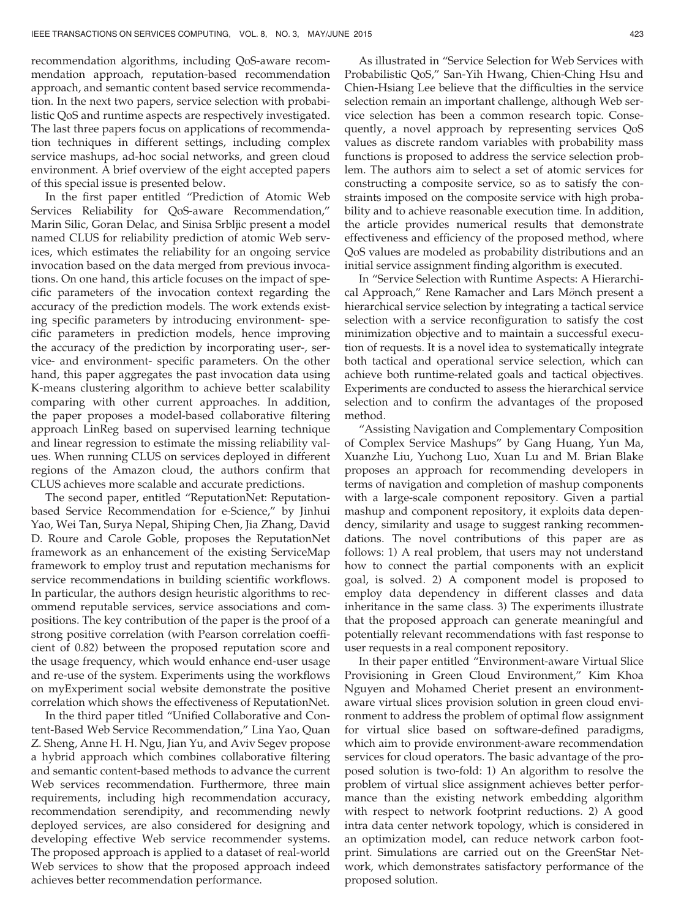recommendation algorithms, including QoS-aware recommendation approach, reputation-based recommendation approach, and semantic content based service recommendation. In the next two papers, service selection with probabilistic QoS and runtime aspects are respectively investigated. The last three papers focus on applications of recommendation techniques in different settings, including complex service mashups, ad-hoc social networks, and green cloud environment. A brief overview of the eight accepted papers of this special issue is presented below.

In the first paper entitled "Prediction of Atomic Web Services Reliability for QoS-aware Recommendation," Marin Silic, Goran Delac, and Sinisa Srbljic present a model named CLUS for reliability prediction of atomic Web services, which estimates the reliability for an ongoing service invocation based on the data merged from previous invocations. On one hand, this article focuses on the impact of specific parameters of the invocation context regarding the accuracy of the prediction models. The work extends existing specific parameters by introducing environment- specific parameters in prediction models, hence improving the accuracy of the prediction by incorporating user-, service- and environment- specific parameters. On the other hand, this paper aggregates the past invocation data using K-means clustering algorithm to achieve better scalability comparing with other current approaches. In addition, the paper proposes a model-based collaborative filtering approach LinReg based on supervised learning technique and linear regression to estimate the missing reliability values. When running CLUS on services deployed in different regions of the Amazon cloud, the authors confirm that CLUS achieves more scalable and accurate predictions.

The second paper, entitled "ReputationNet: Reputationbased Service Recommendation for e-Science," by Jinhui Yao, Wei Tan, Surya Nepal, Shiping Chen, Jia Zhang, David D. Roure and Carole Goble, proposes the ReputationNet framework as an enhancement of the existing ServiceMap framework to employ trust and reputation mechanisms for service recommendations in building scientific workflows. In particular, the authors design heuristic algorithms to recommend reputable services, service associations and compositions. The key contribution of the paper is the proof of a strong positive correlation (with Pearson correlation coefficient of 0.82) between the proposed reputation score and the usage frequency, which would enhance end-user usage and re-use of the system. Experiments using the workflows on myExperiment social website demonstrate the positive correlation which shows the effectiveness of ReputationNet.

In the third paper titled "Unified Collaborative and Content-Based Web Service Recommendation," Lina Yao, Quan Z. Sheng, Anne H. H. Ngu, Jian Yu, and Aviv Segev propose a hybrid approach which combines collaborative filtering and semantic content-based methods to advance the current Web services recommendation. Furthermore, three main requirements, including high recommendation accuracy, recommendation serendipity, and recommending newly deployed services, are also considered for designing and developing effective Web service recommender systems. The proposed approach is applied to a dataset of real-world Web services to show that the proposed approach indeed achieves better recommendation performance.

As illustrated in "Service Selection for Web Services with Probabilistic QoS," San-Yih Hwang, Chien-Ching Hsu and Chien-Hsiang Lee believe that the difficulties in the service selection remain an important challenge, although Web service selection has been a common research topic. Consequently, a novel approach by representing services QoS values as discrete random variables with probability mass functions is proposed to address the service selection problem. The authors aim to select a set of atomic services for constructing a composite service, so as to satisfy the constraints imposed on the composite service with high probability and to achieve reasonable execution time. In addition, the article provides numerical results that demonstrate effectiveness and efficiency of the proposed method, where QoS values are modeled as probability distributions and an initial service assignment finding algorithm is executed.

In "Service Selection with Runtime Aspects: A Hierarchical Approach," Rene Ramacher and Lars Mönch present a hierarchical service selection by integrating a tactical service selection with a service reconfiguration to satisfy the cost minimization objective and to maintain a successful execution of requests. It is a novel idea to systematically integrate both tactical and operational service selection, which can achieve both runtime-related goals and tactical objectives. Experiments are conducted to assess the hierarchical service selection and to confirm the advantages of the proposed method.

"Assisting Navigation and Complementary Composition of Complex Service Mashups" by Gang Huang, Yun Ma, Xuanzhe Liu, Yuchong Luo, Xuan Lu and M. Brian Blake proposes an approach for recommending developers in terms of navigation and completion of mashup components with a large-scale component repository. Given a partial mashup and component repository, it exploits data dependency, similarity and usage to suggest ranking recommendations. The novel contributions of this paper are as follows: 1) A real problem, that users may not understand how to connect the partial components with an explicit goal, is solved. 2) A component model is proposed to employ data dependency in different classes and data inheritance in the same class. 3) The experiments illustrate that the proposed approach can generate meaningful and potentially relevant recommendations with fast response to user requests in a real component repository.

In their paper entitled "Environment-aware Virtual Slice Provisioning in Green Cloud Environment," Kim Khoa Nguyen and Mohamed Cheriet present an environmentaware virtual slices provision solution in green cloud environment to address the problem of optimal flow assignment for virtual slice based on software-defined paradigms, which aim to provide environment-aware recommendation services for cloud operators. The basic advantage of the proposed solution is two-fold: 1) An algorithm to resolve the problem of virtual slice assignment achieves better performance than the existing network embedding algorithm with respect to network footprint reductions. 2) A good intra data center network topology, which is considered in an optimization model, can reduce network carbon footprint. Simulations are carried out on the GreenStar Network, which demonstrates satisfactory performance of the proposed solution.